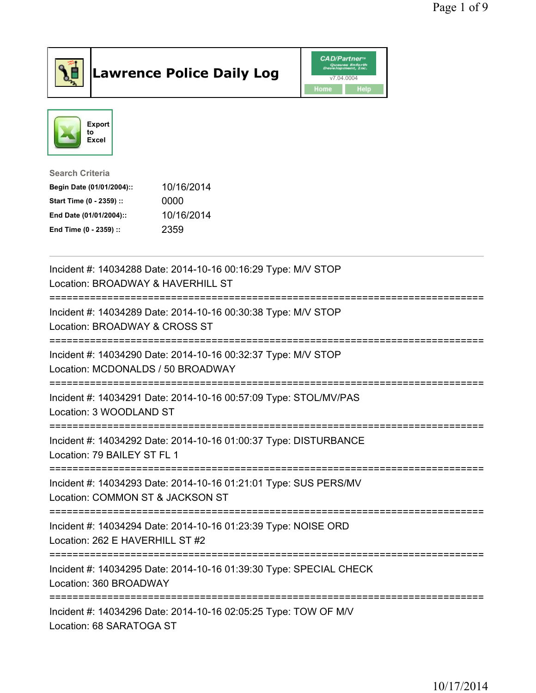

## Lawrence Police Daily Log **Daniel CAD/Partner**





Search Criteria Begin Date (01/01/2004):: 10/16/2014 Start Time (0 - 2359) :: 0000 End Date (01/01/2004):: 10/16/2014 End Time (0 - 2359) :: 2359

| Incident #: 14034288 Date: 2014-10-16 00:16:29 Type: M/V STOP<br>Location: BROADWAY & HAVERHILL ST<br>-------------------             |
|---------------------------------------------------------------------------------------------------------------------------------------|
| Incident #: 14034289 Date: 2014-10-16 00:30:38 Type: M/V STOP<br>Location: BROADWAY & CROSS ST                                        |
| Incident #: 14034290 Date: 2014-10-16 00:32:37 Type: M/V STOP<br>Location: MCDONALDS / 50 BROADWAY                                    |
| Incident #: 14034291 Date: 2014-10-16 00:57:09 Type: STOL/MV/PAS<br>Location: 3 WOODLAND ST                                           |
| Incident #: 14034292 Date: 2014-10-16 01:00:37 Type: DISTURBANCE<br>Location: 79 BAILEY ST FL 1                                       |
| Incident #: 14034293 Date: 2014-10-16 01:21:01 Type: SUS PERS/MV<br>Location: COMMON ST & JACKSON ST<br>============================= |
| Incident #: 14034294 Date: 2014-10-16 01:23:39 Type: NOISE ORD<br>Location: 262 E HAVERHILL ST #2                                     |
| Incident #: 14034295 Date: 2014-10-16 01:39:30 Type: SPECIAL CHECK<br>Location: 360 BROADWAY<br>-----------------                     |
| Incident #: 14034296 Date: 2014-10-16 02:05:25 Type: TOW OF M/V<br>Location: 68 SARATOGA ST                                           |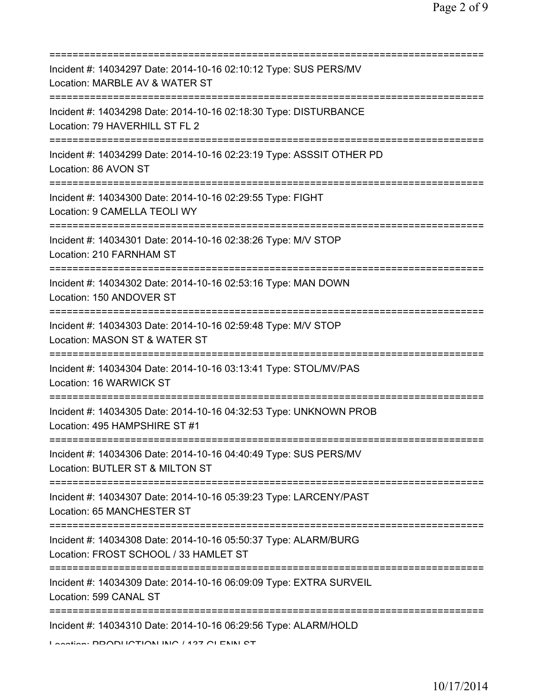| Incident #: 14034297 Date: 2014-10-16 02:10:12 Type: SUS PERS/MV<br>Location: MARBLE AV & WATER ST                                                                                                                                                           |
|--------------------------------------------------------------------------------------------------------------------------------------------------------------------------------------------------------------------------------------------------------------|
| Incident #: 14034298 Date: 2014-10-16 02:18:30 Type: DISTURBANCE<br>Location: 79 HAVERHILL ST FL 2                                                                                                                                                           |
| Incident #: 14034299 Date: 2014-10-16 02:23:19 Type: ASSSIT OTHER PD<br>Location: 86 AVON ST                                                                                                                                                                 |
| Incident #: 14034300 Date: 2014-10-16 02:29:55 Type: FIGHT<br>Location: 9 CAMELLA TEOLI WY                                                                                                                                                                   |
| Incident #: 14034301 Date: 2014-10-16 02:38:26 Type: M/V STOP<br>Location: 210 FARNHAM ST                                                                                                                                                                    |
| Incident #: 14034302 Date: 2014-10-16 02:53:16 Type: MAN DOWN<br>Location: 150 ANDOVER ST                                                                                                                                                                    |
| Incident #: 14034303 Date: 2014-10-16 02:59:48 Type: M/V STOP<br>Location: MASON ST & WATER ST                                                                                                                                                               |
| Incident #: 14034304 Date: 2014-10-16 03:13:41 Type: STOL/MV/PAS<br>Location: 16 WARWICK ST                                                                                                                                                                  |
| Incident #: 14034305 Date: 2014-10-16 04:32:53 Type: UNKNOWN PROB<br>Location: 495 HAMPSHIRE ST #1                                                                                                                                                           |
| Incident #: 14034306 Date: 2014-10-16 04:40:49 Type: SUS PERS/MV<br>Location: BUTLER ST & MILTON ST                                                                                                                                                          |
| Incident #: 14034307 Date: 2014-10-16 05:39:23 Type: LARCENY/PAST<br>Location: 65 MANCHESTER ST                                                                                                                                                              |
| Incident #: 14034308 Date: 2014-10-16 05:50:37 Type: ALARM/BURG<br>Location: FROST SCHOOL / 33 HAMLET ST                                                                                                                                                     |
| ======================================<br>Incident #: 14034309 Date: 2014-10-16 06:09:09 Type: EXTRA SURVEIL<br>Location: 599 CANAL ST                                                                                                                       |
| Incident #: 14034310 Date: 2014-10-16 06:29:56 Type: ALARM/HOLD<br>$\overline{I}$ and $\overline{I}$ and $\overline{I}$ and $\overline{I}$ and $\overline{I}$ and $\overline{I}$ and $\overline{I}$ and $\overline{I}$ and $\overline{I}$ and $\overline{I}$ |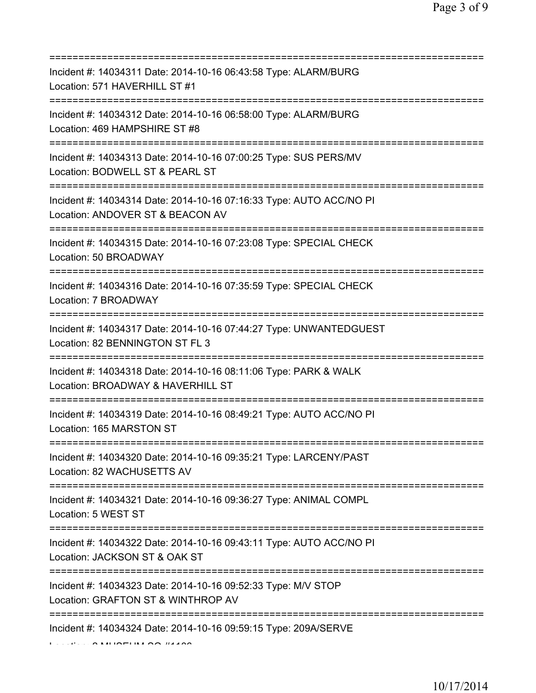| Incident #: 14034311 Date: 2014-10-16 06:43:58 Type: ALARM/BURG<br>Location: 571 HAVERHILL ST #1                                      |
|---------------------------------------------------------------------------------------------------------------------------------------|
| Incident #: 14034312 Date: 2014-10-16 06:58:00 Type: ALARM/BURG<br>Location: 469 HAMPSHIRE ST #8<br>=======================           |
| Incident #: 14034313 Date: 2014-10-16 07:00:25 Type: SUS PERS/MV<br>Location: BODWELL ST & PEARL ST                                   |
| Incident #: 14034314 Date: 2014-10-16 07:16:33 Type: AUTO ACC/NO PI<br>Location: ANDOVER ST & BEACON AV<br>========================== |
| Incident #: 14034315 Date: 2014-10-16 07:23:08 Type: SPECIAL CHECK<br>Location: 50 BROADWAY                                           |
| Incident #: 14034316 Date: 2014-10-16 07:35:59 Type: SPECIAL CHECK<br>Location: 7 BROADWAY                                            |
| ==========================<br>Incident #: 14034317 Date: 2014-10-16 07:44:27 Type: UNWANTEDGUEST<br>Location: 82 BENNINGTON ST FL 3   |
| Incident #: 14034318 Date: 2014-10-16 08:11:06 Type: PARK & WALK<br>Location: BROADWAY & HAVERHILL ST                                 |
| Incident #: 14034319 Date: 2014-10-16 08:49:21 Type: AUTO ACC/NO PI<br>Location: 165 MARSTON ST                                       |
| Incident #: 14034320 Date: 2014-10-16 09:35:21 Type: LARCENY/PAST<br>Location: 82 WACHUSETTS AV                                       |
| Incident #: 14034321 Date: 2014-10-16 09:36:27 Type: ANIMAL COMPL<br>Location: 5 WEST ST                                              |
| Incident #: 14034322 Date: 2014-10-16 09:43:11 Type: AUTO ACC/NO PI<br>Location: JACKSON ST & OAK ST                                  |
| Incident #: 14034323 Date: 2014-10-16 09:52:33 Type: M/V STOP<br>Location: GRAFTON ST & WINTHROP AV                                   |
| Incident #: 14034324 Date: 2014-10-16 09:59:15 Type: 209A/SERVE                                                                       |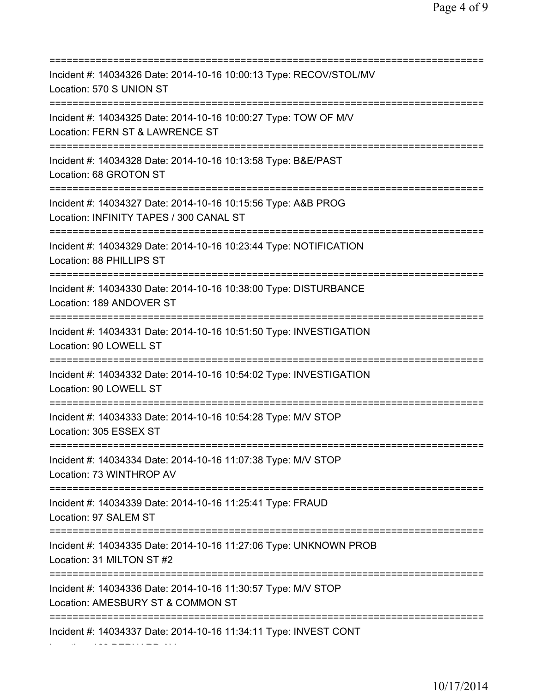| Incident #: 14034326 Date: 2014-10-16 10:00:13 Type: RECOV/STOL/MV<br>Location: 570 S UNION ST                               |
|------------------------------------------------------------------------------------------------------------------------------|
| Incident #: 14034325 Date: 2014-10-16 10:00:27 Type: TOW OF M/V<br>Location: FERN ST & LAWRENCE ST                           |
| Incident #: 14034328 Date: 2014-10-16 10:13:58 Type: B&E/PAST<br>Location: 68 GROTON ST                                      |
| Incident #: 14034327 Date: 2014-10-16 10:15:56 Type: A&B PROG<br>Location: INFINITY TAPES / 300 CANAL ST                     |
| Incident #: 14034329 Date: 2014-10-16 10:23:44 Type: NOTIFICATION<br>Location: 88 PHILLIPS ST<br>=========================== |
| Incident #: 14034330 Date: 2014-10-16 10:38:00 Type: DISTURBANCE<br>Location: 189 ANDOVER ST                                 |
| Incident #: 14034331 Date: 2014-10-16 10:51:50 Type: INVESTIGATION<br>Location: 90 LOWELL ST                                 |
| Incident #: 14034332 Date: 2014-10-16 10:54:02 Type: INVESTIGATION<br>Location: 90 LOWELL ST                                 |
| Incident #: 14034333 Date: 2014-10-16 10:54:28 Type: M/V STOP<br>Location: 305 ESSEX ST                                      |
| Incident #: 14034334 Date: 2014-10-16 11:07:38 Type: M/V STOP<br>Location: 73 WINTHROP AV                                    |
| Incident #: 14034339 Date: 2014-10-16 11:25:41 Type: FRAUD<br>Location: 97 SALEM ST                                          |
| Incident #: 14034335 Date: 2014-10-16 11:27:06 Type: UNKNOWN PROB<br>Location: 31 MILTON ST #2                               |
| Incident #: 14034336 Date: 2014-10-16 11:30:57 Type: M/V STOP<br>Location: AMESBURY ST & COMMON ST                           |
| Incident #: 14034337 Date: 2014-10-16 11:34:11 Type: INVEST CONT                                                             |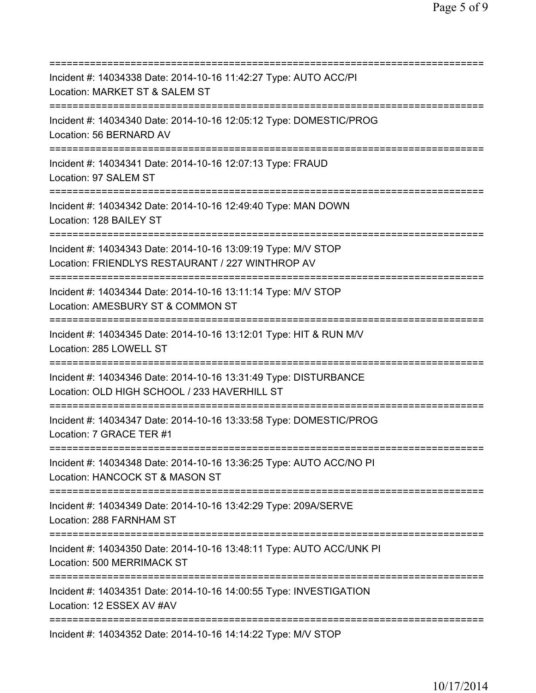| Incident #: 14034338 Date: 2014-10-16 11:42:27 Type: AUTO ACC/PI<br>Location: MARKET ST & SALEM ST                                                |
|---------------------------------------------------------------------------------------------------------------------------------------------------|
| ===========================<br>=================<br>Incident #: 14034340 Date: 2014-10-16 12:05:12 Type: DOMESTIC/PROG<br>Location: 56 BERNARD AV |
| Incident #: 14034341 Date: 2014-10-16 12:07:13 Type: FRAUD<br>Location: 97 SALEM ST                                                               |
| Incident #: 14034342 Date: 2014-10-16 12:49:40 Type: MAN DOWN<br>Location: 128 BAILEY ST                                                          |
| Incident #: 14034343 Date: 2014-10-16 13:09:19 Type: M/V STOP<br>Location: FRIENDLYS RESTAURANT / 227 WINTHROP AV                                 |
| Incident #: 14034344 Date: 2014-10-16 13:11:14 Type: M/V STOP<br>Location: AMESBURY ST & COMMON ST<br>=======================                     |
| Incident #: 14034345 Date: 2014-10-16 13:12:01 Type: HIT & RUN M/V<br>Location: 285 LOWELL ST                                                     |
| Incident #: 14034346 Date: 2014-10-16 13:31:49 Type: DISTURBANCE<br>Location: OLD HIGH SCHOOL / 233 HAVERHILL ST                                  |
| Incident #: 14034347 Date: 2014-10-16 13:33:58 Type: DOMESTIC/PROG<br>Location: 7 GRACE TER #1                                                    |
| Incident #: 14034348 Date: 2014-10-16 13:36:25 Type: AUTO ACC/NO PI<br>Location: HANCOCK ST & MASON ST                                            |
| Incident #: 14034349 Date: 2014-10-16 13:42:29 Type: 209A/SERVE<br>Location: 288 FARNHAM ST                                                       |
| :======================<br>Incident #: 14034350 Date: 2014-10-16 13:48:11 Type: AUTO ACC/UNK PI<br>Location: 500 MERRIMACK ST                     |
| ----------------<br>Incident #: 14034351 Date: 2014-10-16 14:00:55 Type: INVESTIGATION<br>Location: 12 ESSEX AV #AV                               |
| Incident #: 14034352 Date: 2014-10-16 14:14:22 Type: M/V STOP                                                                                     |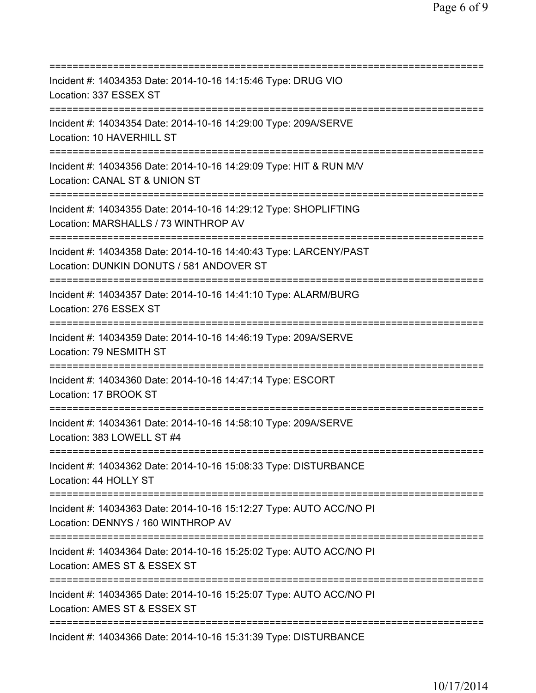| ============================                                                                                                                 |
|----------------------------------------------------------------------------------------------------------------------------------------------|
| Incident #: 14034353 Date: 2014-10-16 14:15:46 Type: DRUG VIO<br>Location: 337 ESSEX ST                                                      |
| Incident #: 14034354 Date: 2014-10-16 14:29:00 Type: 209A/SERVE<br>Location: 10 HAVERHILL ST                                                 |
| Incident #: 14034356 Date: 2014-10-16 14:29:09 Type: HIT & RUN M/V<br>Location: CANAL ST & UNION ST                                          |
| Incident #: 14034355 Date: 2014-10-16 14:29:12 Type: SHOPLIFTING<br>Location: MARSHALLS / 73 WINTHROP AV                                     |
| Incident #: 14034358 Date: 2014-10-16 14:40:43 Type: LARCENY/PAST<br>Location: DUNKIN DONUTS / 581 ANDOVER ST                                |
| Incident #: 14034357 Date: 2014-10-16 14:41:10 Type: ALARM/BURG<br>Location: 276 ESSEX ST<br>===========================                     |
| Incident #: 14034359 Date: 2014-10-16 14:46:19 Type: 209A/SERVE<br>Location: 79 NESMITH ST                                                   |
| Incident #: 14034360 Date: 2014-10-16 14:47:14 Type: ESCORT<br>Location: 17 BROOK ST<br>:================================                    |
| Incident #: 14034361 Date: 2014-10-16 14:58:10 Type: 209A/SERVE<br>Location: 383 LOWELL ST #4                                                |
| Incident #: 14034362 Date: 2014-10-16 15:08:33 Type: DISTURBANCE<br>Location: 44 HOLLY ST                                                    |
| Incident #: 14034363 Date: 2014-10-16 15:12:27 Type: AUTO ACC/NO PI<br>Location: DENNYS / 160 WINTHROP AV                                    |
| Incident #: 14034364 Date: 2014-10-16 15:25:02 Type: AUTO ACC/NO PI<br>Location: AMES ST & ESSEX ST                                          |
| =====================================<br>Incident #: 14034365 Date: 2014-10-16 15:25:07 Type: AUTO ACC/NO PI<br>Location: AMES ST & ESSEX ST |
| ==============================<br>Incident #: 14034366 Date: 2014-10-16 15:31:39 Type: DISTURBANCE                                           |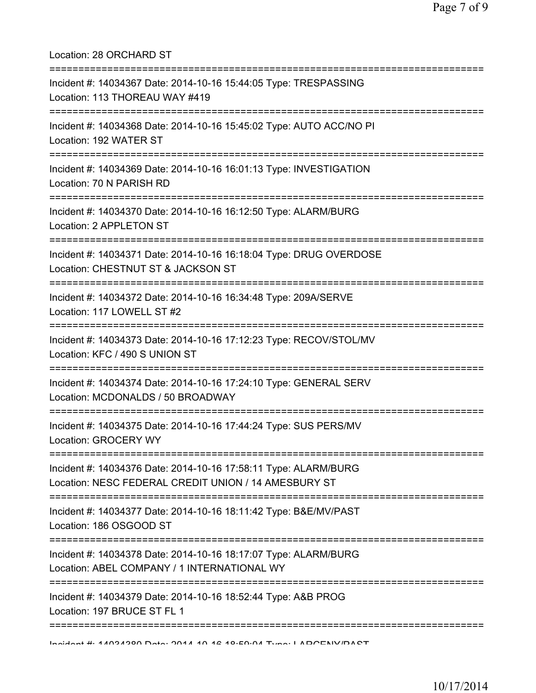| Location: 28 ORCHARD ST                                                                                                                     |
|---------------------------------------------------------------------------------------------------------------------------------------------|
| Incident #: 14034367 Date: 2014-10-16 15:44:05 Type: TRESPASSING<br>Location: 113 THOREAU WAY #419<br>.==================================== |
| Incident #: 14034368 Date: 2014-10-16 15:45:02 Type: AUTO ACC/NO PI<br>Location: 192 WATER ST<br>---------------------------------          |
| Incident #: 14034369 Date: 2014-10-16 16:01:13 Type: INVESTIGATION<br>Location: 70 N PARISH RD                                              |
| Incident #: 14034370 Date: 2014-10-16 16:12:50 Type: ALARM/BURG<br>Location: 2 APPLETON ST                                                  |
| Incident #: 14034371 Date: 2014-10-16 16:18:04 Type: DRUG OVERDOSE<br>Location: CHESTNUT ST & JACKSON ST<br>=============                   |
| Incident #: 14034372 Date: 2014-10-16 16:34:48 Type: 209A/SERVE<br>Location: 117 LOWELL ST #2                                               |
| Incident #: 14034373 Date: 2014-10-16 17:12:23 Type: RECOV/STOL/MV<br>Location: KFC / 490 S UNION ST                                        |
| Incident #: 14034374 Date: 2014-10-16 17:24:10 Type: GENERAL SERV<br>Location: MCDONALDS / 50 BROADWAY                                      |
| Incident #: 14034375 Date: 2014-10-16 17:44:24 Type: SUS PERS/MV<br>Location: GROCERY WY                                                    |
| Incident #: 14034376 Date: 2014-10-16 17:58:11 Type: ALARM/BURG<br>Location: NESC FEDERAL CREDIT UNION / 14 AMESBURY ST                     |
| Incident #: 14034377 Date: 2014-10-16 18:11:42 Type: B&E/MV/PAST<br>Location: 186 OSGOOD ST                                                 |
| Incident #: 14034378 Date: 2014-10-16 18:17:07 Type: ALARM/BURG<br>Location: ABEL COMPANY / 1 INTERNATIONAL WY                              |
| Incident #: 14034379 Date: 2014-10-16 18:52:44 Type: A&B PROG<br>Location: 197 BRUCE ST FL 1                                                |
| ============<br>Incident # 44004000 Deta: 0044 40 40 40.50.04 Tune: I ADOENIV/DACT                                                          |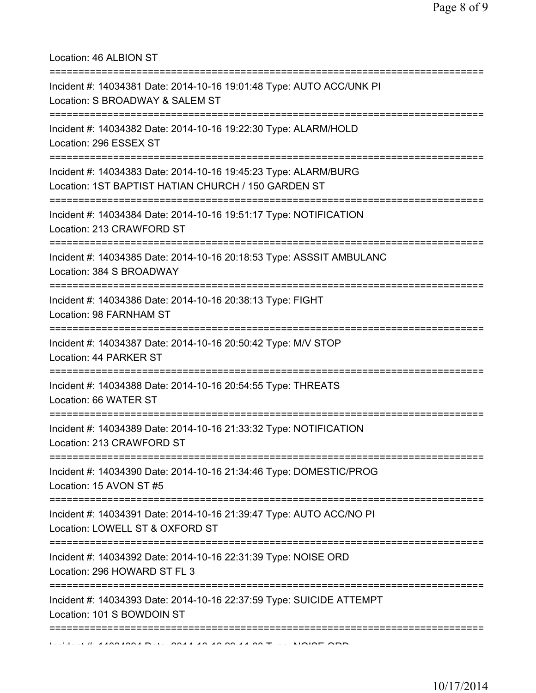Location: 46 ALBION ST

| Incident #: 14034381 Date: 2014-10-16 19:01:48 Type: AUTO ACC/UNK PI<br>Location: S BROADWAY & SALEM ST                                              |
|------------------------------------------------------------------------------------------------------------------------------------------------------|
| Incident #: 14034382 Date: 2014-10-16 19:22:30 Type: ALARM/HOLD<br>Location: 296 ESSEX ST<br>===================                                     |
| Incident #: 14034383 Date: 2014-10-16 19:45:23 Type: ALARM/BURG<br>Location: 1ST BAPTIST HATIAN CHURCH / 150 GARDEN ST                               |
| Incident #: 14034384 Date: 2014-10-16 19:51:17 Type: NOTIFICATION<br>Location: 213 CRAWFORD ST                                                       |
| Incident #: 14034385 Date: 2014-10-16 20:18:53 Type: ASSSIT AMBULANC<br>Location: 384 S BROADWAY<br>-====================================            |
| Incident #: 14034386 Date: 2014-10-16 20:38:13 Type: FIGHT<br>Location: 98 FARNHAM ST                                                                |
| Incident #: 14034387 Date: 2014-10-16 20:50:42 Type: M/V STOP<br>Location: 44 PARKER ST                                                              |
| Incident #: 14034388 Date: 2014-10-16 20:54:55 Type: THREATS<br>Location: 66 WATER ST                                                                |
| Incident #: 14034389 Date: 2014-10-16 21:33:32 Type: NOTIFICATION<br>Location: 213 CRAWFORD ST                                                       |
| ===========<br>Incident #: 14034390 Date: 2014-10-16 21:34:46 Type: DOMESTIC/PROG<br>Location: 15 AVON ST #5<br>==================================== |
| Incident #: 14034391 Date: 2014-10-16 21:39:47 Type: AUTO ACC/NO PI<br>Location: LOWELL ST & OXFORD ST                                               |
| Incident #: 14034392 Date: 2014-10-16 22:31:39 Type: NOISE ORD<br>Location: 296 HOWARD ST FL 3                                                       |
| Incident #: 14034393 Date: 2014-10-16 22:37:59 Type: SUICIDE ATTEMPT<br>Location: 101 S BOWDOIN ST                                                   |
|                                                                                                                                                      |